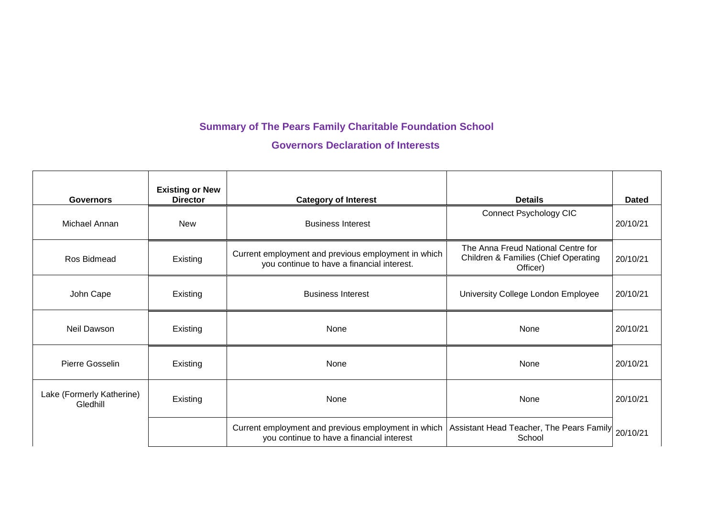## **Summary of The Pears Family Charitable Foundation School**

**Governors Declaration of Interests**

| <b>Governors</b>                      | <b>Existing or New</b><br><b>Director</b> | <b>Category of Interest</b>                                                                       | <b>Details</b>                                                                                    | <b>Dated</b> |
|---------------------------------------|-------------------------------------------|---------------------------------------------------------------------------------------------------|---------------------------------------------------------------------------------------------------|--------------|
| Michael Annan                         | <b>New</b>                                | <b>Business Interest</b>                                                                          | <b>Connect Psychology CIC</b>                                                                     | 20/10/21     |
| Ros Bidmead                           | Existing                                  | Current employment and previous employment in which<br>you continue to have a financial interest. | The Anna Freud National Centre for<br><b>Children &amp; Families (Chief Operating</b><br>Officer) | 20/10/21     |
| John Cape                             | Existing                                  | <b>Business Interest</b>                                                                          | University College London Employee                                                                | 20/10/21     |
| Neil Dawson                           | Existing                                  | None                                                                                              | None                                                                                              | 20/10/21     |
| Pierre Gosselin                       | Existing                                  | None                                                                                              | None                                                                                              | 20/10/21     |
| Lake (Formerly Katherine)<br>Gledhill | Existing                                  | None                                                                                              | None                                                                                              | 20/10/21     |
|                                       |                                           | Current employment and previous employment in which<br>you continue to have a financial interest  | Assistant Head Teacher, The Pears Family<br>School                                                | 20/10/21     |